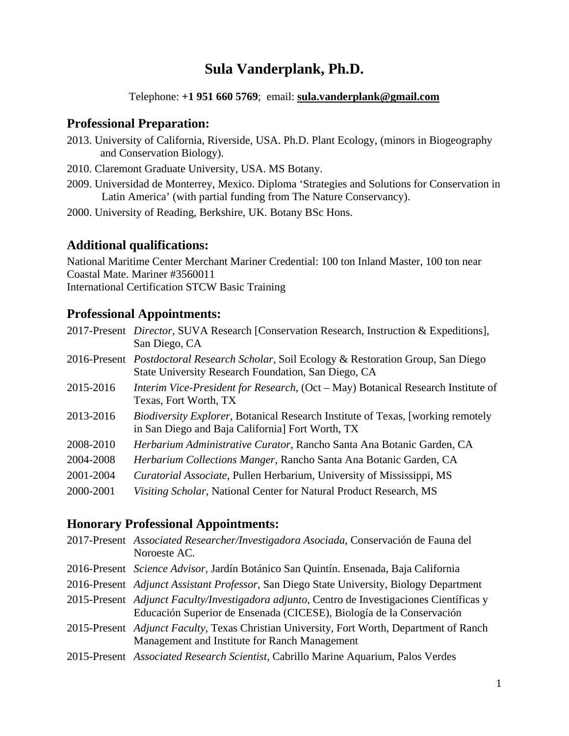# **Sula Vanderplank, Ph.D.**

Telephone: **+1 951 660 5769**; email: **sula.vanderplank@gmail.com** 

# **Professional Preparation:**

- 2013. University of California, Riverside, USA. Ph.D. Plant Ecology, (minors in Biogeography and Conservation Biology).
- 2010. Claremont Graduate University, USA. MS Botany.
- 2009. Universidad de Monterrey, Mexico. Diploma 'Strategies and Solutions for Conservation in Latin America' (with partial funding from The Nature Conservancy).
- 2000. University of Reading, Berkshire, UK. Botany BSc Hons.

# **Additional qualifications:**

National Maritime Center Merchant Mariner Credential: 100 ton Inland Master, 100 ton near Coastal Mate. Mariner #3560011 International Certification STCW Basic Training

# **Professional Appointments:**

| 2017-Present Director, SUVA Research [Conservation Research, Instruction & Expeditions],<br>San Diego, CA                                                |  |
|----------------------------------------------------------------------------------------------------------------------------------------------------------|--|
| 2016-Present <i>Postdoctoral Research Scholar</i> , Soil Ecology & Restoration Group, San Diego<br>State University Research Foundation, San Diego, CA   |  |
| 2015-2016<br>Interim Vice-President for Research, (Oct – May) Botanical Research Institute of<br>Texas, Fort Worth, TX                                   |  |
| 2013-2016<br><i>Biodiversity Explorer</i> , Botanical Research Institute of Texas, [working remotely<br>in San Diego and Baja California] Fort Worth, TX |  |
| 2008-2010<br>Herbarium Administrative Curator, Rancho Santa Ana Botanic Garden, CA                                                                       |  |
| 2004-2008<br>Herbarium Collections Manger, Rancho Santa Ana Botanic Garden, CA                                                                           |  |
| 2001-2004<br><i>Curatorial Associate, Pullen Herbarium, University of Mississippi, MS</i>                                                                |  |
| 2000-2001<br>Visiting Scholar, National Center for Natural Product Research, MS                                                                          |  |

# **Honorary Professional Appointments:**

| 2017-Present Associated Researcher/Investigadora Asociada, Conservación de Fauna del<br>Noroeste AC.                                                                |
|---------------------------------------------------------------------------------------------------------------------------------------------------------------------|
| 2016-Present Science Advisor, Jardín Botánico San Quintín. Ensenada, Baja California                                                                                |
| 2016-Present Adjunct Assistant Professor, San Diego State University, Biology Department                                                                            |
| 2015-Present Adjunct Faculty/Investigadora adjunto, Centro de Investigaciones Científicas y<br>Educación Superior de Ensenada (CICESE), Biología de la Conservación |
| 2015-Present Adjunct Faculty, Texas Christian University, Fort Worth, Department of Ranch<br>Management and Institute for Ranch Management                          |
| 2015-Present Associated Research Scientist, Cabrillo Marine Aquarium, Palos Verdes                                                                                  |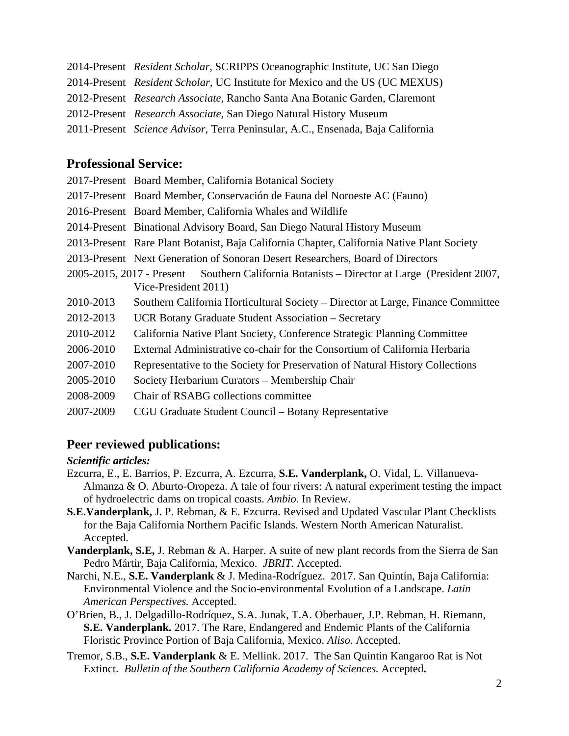| 2014-Present Resident Scholar, SCRIPPS Oceanographic Institute, UC San Diego    |
|---------------------------------------------------------------------------------|
| 2014-Present Resident Scholar, UC Institute for Mexico and the US (UC MEXUS)    |
| 2012-Present Research Associate, Rancho Santa Ana Botanic Garden, Claremont     |
| 2012-Present Research Associate, San Diego Natural History Museum               |
| 2011-Present Science Advisor, Terra Peninsular, A.C., Ensenada, Baja California |

# **Professional Service:**

|           | 2017-Present Board Member, California Botanical Society                                      |
|-----------|----------------------------------------------------------------------------------------------|
|           | 2017-Present Board Member, Conservación de Fauna del Noroeste AC (Fauno)                     |
|           | 2016-Present Board Member, California Whales and Wildlife                                    |
|           | 2014-Present Binational Advisory Board, San Diego Natural History Museum                     |
|           | 2013-Present Rare Plant Botanist, Baja California Chapter, California Native Plant Society   |
|           | 2013-Present Next Generation of Sonoran Desert Researchers, Board of Directors               |
|           | 2005-2015, 2017 - Present Southern California Botanists – Director at Large (President 2007, |
|           | Vice-President 2011)                                                                         |
| 2010-2013 | Southern California Horticultural Society – Director at Large, Finance Committee             |
| 2012-2013 | UCR Botany Graduate Student Association – Secretary                                          |
| 2010-2012 | California Native Plant Society, Conference Strategic Planning Committee                     |
| 2006-2010 | External Administrative co-chair for the Consortium of California Herbaria                   |
| 2007-2010 | Representative to the Society for Preservation of Natural History Collections                |
| 2005-2010 | Society Herbarium Curators – Membership Chair                                                |

- 2008-2009 Chair of RSABG collections committee
- 2007-2009 CGU Graduate Student Council Botany Representative

# **Peer reviewed publications:**

#### *Scientific articles:*

- Ezcurra, E., E. Barrios, P. Ezcurra, A. Ezcurra, **S.E. Vanderplank,** O. Vidal, L. Villanueva-Almanza & O. Aburto-Oropeza. A tale of four rivers: A natural experiment testing the impact of hydroelectric dams on tropical coasts. *Ambio.* In Review.
- **S.E**.**Vanderplank,** J. P. Rebman, & E. Ezcurra. Revised and Updated Vascular Plant Checklists for the Baja California Northern Pacific Islands. Western North American Naturalist. Accepted.
- **Vanderplank, S.E,** J. Rebman & A. Harper. A suite of new plant records from the Sierra de San Pedro Mártir, Baja California, Mexico. *JBRIT.* Accepted.
- Narchi, N.E., **S.E. Vanderplank** & J. Medina-Rodríguez. 2017. San Quintín, Baja California: Environmental Violence and the Socio-environmental Evolution of a Landscape. *Latin American Perspectives.* Accepted.
- O'Brien, B., J. Delgadillo-Rodríquez, S.A. Junak, T.A. Oberbauer, J.P. Rebman, H. Riemann, **S.E. Vanderplank.** 2017. The Rare, Endangered and Endemic Plants of the California Floristic Province Portion of Baja California, Mexico. *Aliso.* Accepted.
- Tremor, S.B., **S.E. Vanderplank** & E. Mellink. 2017. The San Quintin Kangaroo Rat is Not Extinct. *Bulletin of the Southern California Academy of Sciences.* Accepted**.**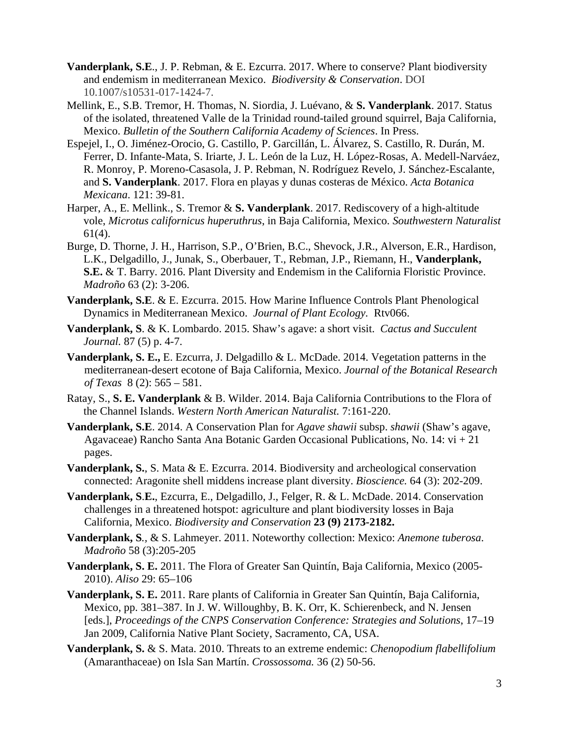- **Vanderplank, S.E**., J. P. Rebman, & E. Ezcurra. 2017. Where to conserve? Plant biodiversity and endemism in mediterranean Mexico. *Biodiversity & Conservation*. DOI 10.1007/s10531-017-1424-7.
- Mellink, E., S.B. Tremor, H. Thomas, N. Siordia, J. Luévano, & **S. Vanderplank**. 2017. Status of the isolated, threatened Valle de la Trinidad round-tailed ground squirrel, Baja California, Mexico. *Bulletin of the Southern California Academy of Sciences*. In Press.
- Espejel, I., O. Jiménez-Orocio, G. Castillo, P. Garcillán, L. Álvarez, S. Castillo, R. Durán, M. Ferrer, D. Infante-Mata, S. Iriarte, J. L. León de la Luz, H. López-Rosas, A. Medell-Narváez, R. Monroy, P. Moreno-Casasola, J. P. Rebman, N. Rodríguez Revelo, J. Sánchez-Escalante, and **S. Vanderplank**. 2017. Flora en playas y dunas costeras de México. *Acta Botanica Mexicana*. 121: 39-81.
- Harper, A., E. Mellink., S. Tremor & **S. Vanderplank**. 2017. Rediscovery of a high-altitude vole, *Microtus californicus huperuthrus*, in Baja California, Mexico. *Southwestern Naturalist*  61(4).
- Burge, D. Thorne, J. H., Harrison, S.P., O'Brien, B.C., Shevock, J.R., Alverson, E.R., Hardison, L.K., Delgadillo, J., Junak, S., Oberbauer, T., Rebman, J.P., Riemann, H., **Vanderplank, S.E.** & T. Barry*.* 2016. Plant Diversity and Endemism in the California Floristic Province. *Madroño* 63 (2): 3-206.
- **Vanderplank, S.E**. & E. Ezcurra. 2015. How Marine Influence Controls Plant Phenological Dynamics in Mediterranean Mexico. *Journal of Plant Ecology.* Rtv066.
- **Vanderplank, S**. & K. Lombardo. 2015. Shaw's agave: a short visit. *Cactus and Succulent Journal.* 87 (5) p. 4-7.
- **Vanderplank, S. E.,** E. Ezcurra, J. Delgadillo & L. McDade. 2014. Vegetation patterns in the mediterranean-desert ecotone of Baja California, Mexico. *Journal of the Botanical Research of Texas* 8 (2): 565 – 581.
- Ratay, S., **S. E. Vanderplank** & B. Wilder. 2014. Baja California Contributions to the Flora of the Channel Islands. *Western North American Naturalist.* 7:161-220.
- **Vanderplank, S.E**. 2014. A Conservation Plan for *Agave shawii* subsp. *shawii* (Shaw's agave, Agavaceae) Rancho Santa Ana Botanic Garden Occasional Publications, No. 14: vi + 21 pages.
- **Vanderplank, S.**, S. Mata & E. Ezcurra. 2014. Biodiversity and archeological conservation connected: Aragonite shell middens increase plant diversity. *Bioscience.* 64 (3): 202-209.
- **Vanderplank, S**.**E.**, Ezcurra, E., Delgadillo, J., Felger, R. & L. McDade. 2014. Conservation challenges in a threatened hotspot: agriculture and plant biodiversity losses in Baja California, Mexico. *Biodiversity and Conservation* **23 (9) 2173-2182.**
- **Vanderplank, S***.,* & S. Lahmeyer. 2011. Noteworthy collection: Mexico: *Anemone tuberosa*. *Madroño* 58 (3):205-205
- **Vanderplank, S. E.** 2011. The Flora of Greater San Quintín, Baja California, Mexico (2005- 2010). *Aliso* 29: 65–106
- **Vanderplank, S. E.** 2011. Rare plants of California in Greater San Quintín, Baja California, Mexico, pp. 381–387. In J. W. Willoughby, B. K. Orr, K. Schierenbeck, and N. Jensen [eds.], *Proceedings of the CNPS Conservation Conference: Strategies and Solutions*, 17–19 Jan 2009, California Native Plant Society, Sacramento, CA, USA.
- **Vanderplank, S.** & S. Mata. 2010. Threats to an extreme endemic: *Chenopodium flabellifolium*  (Amaranthaceae) on Isla San Martín. *Crossossoma.* 36 (2) 50-56.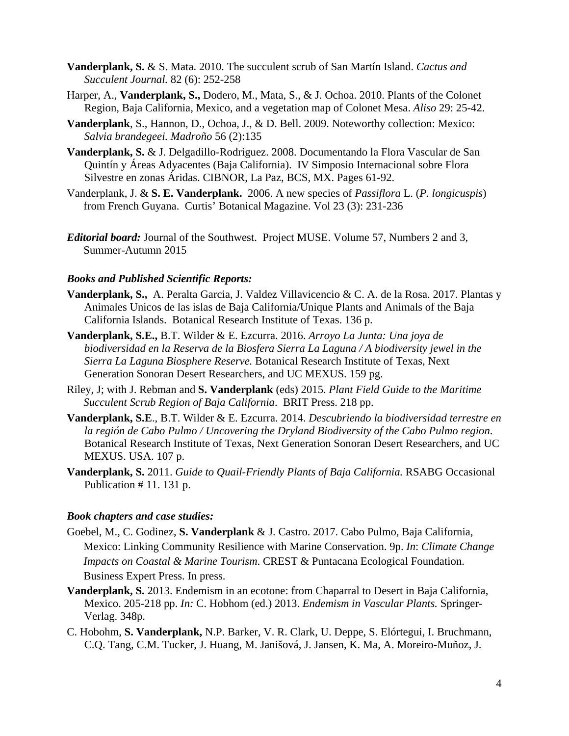- **Vanderplank, S.** & S. Mata. 2010. The succulent scrub of San Martín Island. *Cactus and Succulent Journal.* 82 (6): 252-258
- Harper, A., **Vanderplank, S.,** Dodero, M., Mata, S., & J. Ochoa. 2010. Plants of the Colonet Region, Baja California, Mexico, and a vegetation map of Colonet Mesa. *Aliso* 29: 25-42.
- **Vanderplank**, S., Hannon, D., Ochoa, J., & D. Bell. 2009. Noteworthy collection: Mexico: *Salvia brandegeei. Madroño* 56 (2):135
- **Vanderplank, S.** & J. Delgadillo-Rodriguez. 2008. Documentando la Flora Vascular de San Quintín y Áreas Adyacentes (Baja California).IV Simposio Internacional sobre Flora Silvestre en zonas Áridas. CIBNOR, La Paz, BCS, MX. Pages 61-92.
- Vanderplank, J. & **S. E. Vanderplank.** 2006. A new species of *Passiflora* L. (*P. longicuspis*) from French Guyana. Curtis' Botanical Magazine. Vol 23 (3): 231-236
- *Editorial board:* Journal of the Southwest. Project MUSE. Volume 57, Numbers 2 and 3, Summer-Autumn 2015

#### *Books and Published Scientific Reports:*

- **Vanderplank, S.,** A. Peralta Garcia, J. Valdez Villavicencio & C. A. de la Rosa. 2017. Plantas y Animales Unicos de las islas de Baja California/Unique Plants and Animals of the Baja California Islands. Botanical Research Institute of Texas. 136 p.
- **Vanderplank, S.E.,** B.T. Wilder & E. Ezcurra. 2016. *Arroyo La Junta: Una joya de biodiversidad en la Reserva de la Biosfera Sierra La Laguna / A biodiversity jewel in the Sierra La Laguna Biosphere Reserve.* Botanical Research Institute of Texas, Next Generation Sonoran Desert Researchers, and UC MEXUS. 159 pg.
- Riley, J; with J. Rebman and **S. Vanderplank** (eds) 2015. *Plant Field Guide to the Maritime Succulent Scrub Region of Baja California*. BRIT Press. 218 pp.
- **Vanderplank, S.E**., B.T. Wilder & E. Ezcurra. 2014. *Descubriendo la biodiversidad terrestre en la región de Cabo Pulmo / Uncovering the Dryland Biodiversity of the Cabo Pulmo region*. Botanical Research Institute of Texas, Next Generation Sonoran Desert Researchers, and UC MEXUS. USA. 107 p.
- **Vanderplank, S.** 2011. *Guide to Quail-Friendly Plants of Baja California.* RSABG Occasional Publication # 11. 131 p.

#### *Book chapters and case studies:*

- Goebel, M., C. Godinez, **S. Vanderplank** & J. Castro. 2017. Cabo Pulmo, Baja California, Mexico: Linking Community Resilience with Marine Conservation. 9p. *In*: *Climate Change Impacts on Coastal & Marine Tourism*. CREST & Puntacana Ecological Foundation. Business Expert Press. In press.
- **Vanderplank, S.** 2013. Endemism in an ecotone: from Chaparral to Desert in Baja California, Mexico. 205-218 pp. *In:* C. Hobhom (ed.) 2013. *Endemism in Vascular Plants.* Springer-Verlag. 348p.
- C. Hobohm, **S. Vanderplank,** N.P. Barker, V. R. Clark, U. Deppe, S. Elórtegui, I. Bruchmann, C.Q. Tang, C.M. Tucker, J. Huang, M. Janišová, J. Jansen, K. Ma, A. Moreiro-Muñoz, J.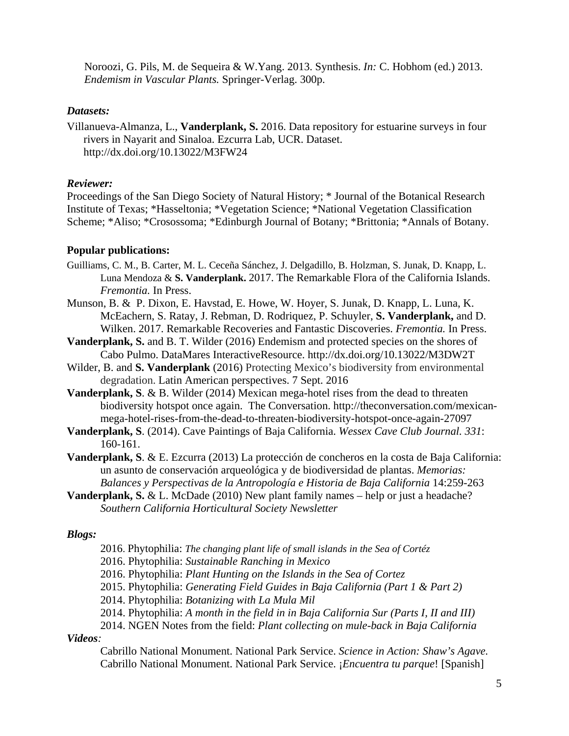Noroozi, G. Pils, M. de Sequeira & W.Yang. 2013. Synthesis. *In:* C. Hobhom (ed.) 2013. *Endemism in Vascular Plants.* Springer-Verlag. 300p.

#### *Datasets:*

Villanueva-Almanza, L., **Vanderplank, S.** 2016. Data repository for estuarine surveys in four rivers in Nayarit and Sinaloa. Ezcurra Lab, UCR. Dataset. http://dx.doi.org/10.13022/M3FW24

### *Reviewer:*

Proceedings of the San Diego Society of Natural History; \* Journal of the Botanical Research Institute of Texas; \*Hasseltonia; \*Vegetation Science; \*National Vegetation Classification Scheme; \*Aliso; \*Crosossoma; \*Edinburgh Journal of Botany; \*Brittonia; \*Annals of Botany.

### **Popular publications:**

- Guilliams, C. M., B. Carter, M. L. Ceceña Sánchez, J. Delgadillo, B. Holzman, S. Junak, D. Knapp, L. Luna Mendoza & **S. Vanderplank.** 2017. The Remarkable Flora of the California Islands. *Fremontia.* In Press.
- Munson, B. & P. Dixon, E. Havstad, E. Howe, W. Hoyer, S. Junak, D. Knapp, L. Luna, K. McEachern, S. Ratay, J. Rebman, D. Rodriquez, P. Schuyler, **S. Vanderplank,** and D. Wilken. 2017. Remarkable Recoveries and Fantastic Discoveries. *Fremontia.* In Press.
- **Vanderplank, S.** and B. T. Wilder (2016) Endemism and protected species on the shores of Cabo Pulmo. DataMares InteractiveResource. http://dx.doi.org/10.13022/M3DW2T
- Wilder, B. and **S. Vanderplank** (2016) Protecting Mexico's biodiversity from environmental degradation. Latin American perspectives. 7 Sept. 2016
- **Vanderplank, S**. & B. Wilder (2014) Mexican mega-hotel rises from the dead to threaten biodiversity hotspot once again. The Conversation. http://theconversation.com/mexicanmega-hotel-rises-from-the-dead-to-threaten-biodiversity-hotspot-once-again-27097
- **Vanderplank, S**. (2014). Cave Paintings of Baja California. *Wessex Cave Club Journal. 331*: 160-161.
- **Vanderplank, S**. & E. Ezcurra (2013) La protección de concheros en la costa de Baja California: un asunto de conservación arqueológica y de biodiversidad de plantas. *Memorias: Balances y Perspectivas de la Antropología e Historia de Baja California* 14:259-263
- **Vanderplank, S. & L.** McDade (2010) New plant family names help or just a headache? *Southern California Horticultural Society Newsletter*

### *Blogs:*

- 2016. Phytophilia: *The changing plant life of small islands in the Sea of Cortéz*
- 2016. Phytophilia: *Sustainable Ranching in Mexico*
- 2016. Phytophilia: *Plant Hunting on the Islands in the Sea of Cortez*
- 2015. Phytophilia: *Generating Field Guides in Baja California (Part 1 & Part 2)*
- 2014. Phytophilia: *Botanizing with La Mula Mil*
- 2014. Phytophilia: *A month in the field in in Baja California Sur (Parts I, II and III)*
- 2014. NGEN Notes from the field: *Plant collecting on mule-back in Baja California Videos:*

Cabrillo National Monument. National Park Service. *Science in Action: Shaw's Agave.*  Cabrillo National Monument. National Park Service. ¡*Encuentra tu parque*! [Spanish]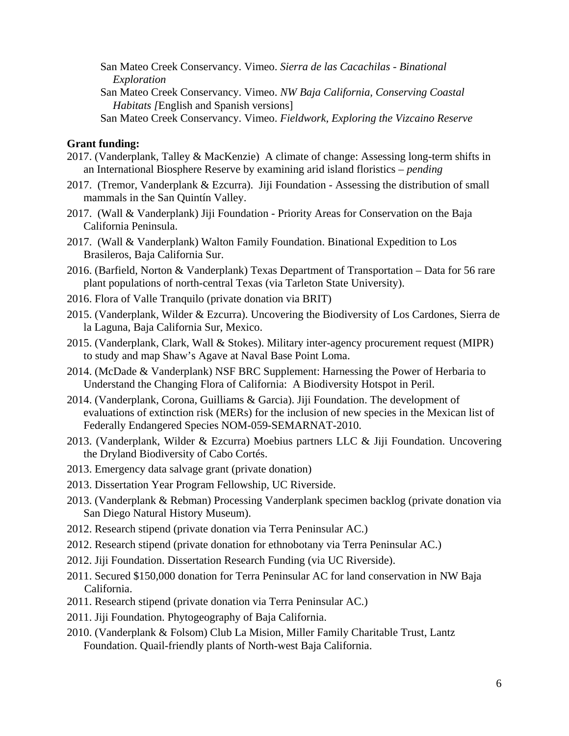- San Mateo Creek Conservancy. Vimeo. *Sierra de las Cacachilas Binational Exploration*
- San Mateo Creek Conservancy. Vimeo. *NW Baja California, Conserving Coastal Habitats [*English and Spanish versions]
- San Mateo Creek Conservancy. Vimeo. *Fieldwork, Exploring the Vizcaino Reserve*

#### **Grant funding:**

- 2017. (Vanderplank, Talley & MacKenzie) A climate of change: Assessing long-term shifts in an International Biosphere Reserve by examining arid island floristics – *pending*
- 2017. (Tremor, Vanderplank & Ezcurra). Jiji Foundation Assessing the distribution of small mammals in the San Quintín Valley.
- 2017. (Wall & Vanderplank) Jiji Foundation Priority Areas for Conservation on the Baja California Peninsula.
- 2017. (Wall & Vanderplank) Walton Family Foundation. Binational Expedition to Los Brasileros, Baja California Sur.
- 2016. (Barfield, Norton & Vanderplank) Texas Department of Transportation Data for 56 rare plant populations of north-central Texas (via Tarleton State University).
- 2016. Flora of Valle Tranquilo (private donation via BRIT)
- 2015. (Vanderplank, Wilder & Ezcurra). Uncovering the Biodiversity of Los Cardones, Sierra de la Laguna, Baja California Sur, Mexico.
- 2015. (Vanderplank, Clark, Wall & Stokes). Military inter-agency procurement request (MIPR) to study and map Shaw's Agave at Naval Base Point Loma.
- 2014. (McDade & Vanderplank) NSF BRC Supplement: Harnessing the Power of Herbaria to Understand the Changing Flora of California: A Biodiversity Hotspot in Peril.
- 2014. (Vanderplank, Corona, Guilliams & Garcia). Jiji Foundation. The development of evaluations of extinction risk (MERs) for the inclusion of new species in the Mexican list of Federally Endangered Species NOM-059-SEMARNAT-2010.
- 2013. (Vanderplank, Wilder & Ezcurra) Moebius partners LLC & Jiji Foundation. Uncovering the Dryland Biodiversity of Cabo Cortés.
- 2013. Emergency data salvage grant (private donation)
- 2013. Dissertation Year Program Fellowship, UC Riverside.
- 2013. (Vanderplank & Rebman) Processing Vanderplank specimen backlog (private donation via San Diego Natural History Museum).
- 2012. Research stipend (private donation via Terra Peninsular AC.)
- 2012. Research stipend (private donation for ethnobotany via Terra Peninsular AC.)
- 2012. Jiji Foundation. Dissertation Research Funding (via UC Riverside).
- 2011. Secured \$150,000 donation for Terra Peninsular AC for land conservation in NW Baja California.
- 2011. Research stipend (private donation via Terra Peninsular AC.)
- 2011. Jiji Foundation. Phytogeography of Baja California.
- 2010. (Vanderplank & Folsom) Club La Mision, Miller Family Charitable Trust, Lantz Foundation. Quail-friendly plants of North-west Baja California.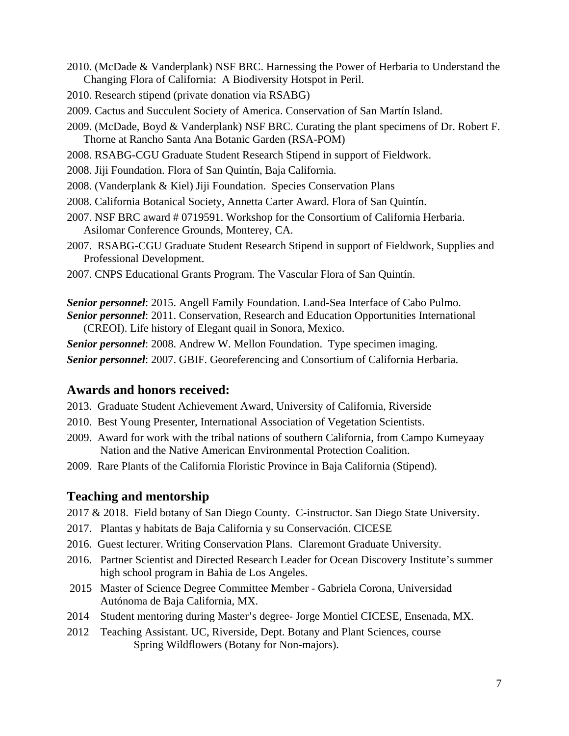- 2010. (McDade & Vanderplank) NSF BRC. Harnessing the Power of Herbaria to Understand the Changing Flora of California: A Biodiversity Hotspot in Peril.
- 2010. Research stipend (private donation via RSABG)
- 2009. Cactus and Succulent Society of America. Conservation of San Martín Island.
- 2009. (McDade, Boyd & Vanderplank) NSF BRC. Curating the plant specimens of Dr. Robert F. Thorne at Rancho Santa Ana Botanic Garden (RSA-POM)
- 2008. RSABG-CGU Graduate Student Research Stipend in support of Fieldwork.
- 2008. Jiji Foundation. Flora of San Quintín, Baja California.
- 2008. (Vanderplank & Kiel) Jiji Foundation. Species Conservation Plans
- 2008. California Botanical Society, Annetta Carter Award. Flora of San Quintín.
- 2007. NSF BRC award # 0719591. Workshop for the Consortium of California Herbaria. Asilomar Conference Grounds, Monterey, CA.
- 2007. RSABG-CGU Graduate Student Research Stipend in support of Fieldwork, Supplies and Professional Development.
- 2007. CNPS Educational Grants Program. The Vascular Flora of San Quintín.

*Senior personnel*: 2015. Angell Family Foundation. Land-Sea Interface of Cabo Pulmo. *Senior personnel*: 2011. Conservation, Research and Education Opportunities International (CREOI). Life history of Elegant quail in Sonora, Mexico.

*Senior personnel*: 2008. Andrew W. Mellon Foundation. Type specimen imaging.

# *Senior personnel*: 2007. GBIF. Georeferencing and Consortium of California Herbaria.

### **Awards and honors received:**

- 2013. Graduate Student Achievement Award, University of California, Riverside
- 2010. Best Young Presenter, International Association of Vegetation Scientists.
- 2009. Award for work with the tribal nations of southern California, from Campo Kumeyaay Nation and the Native American Environmental Protection Coalition.
- 2009. Rare Plants of the California Floristic Province in Baja California (Stipend).

### **Teaching and mentorship**

2017 & 2018. Field botany of San Diego County. C-instructor. San Diego State University.

- 2017. Plantas y habitats de Baja California y su Conservación. CICESE
- 2016. Guest lecturer. Writing Conservation Plans. Claremont Graduate University.
- 2016. Partner Scientist and Directed Research Leader for Ocean Discovery Institute's summer high school program in Bahia de Los Angeles.
- 2015 Master of Science Degree Committee Member Gabriela Corona, Universidad Autónoma de Baja California, MX.
- 2014 Student mentoring during Master's degree- Jorge Montiel CICESE, Ensenada, MX.
- 2012 Teaching Assistant. UC, Riverside, Dept. Botany and Plant Sciences, course Spring Wildflowers (Botany for Non-majors).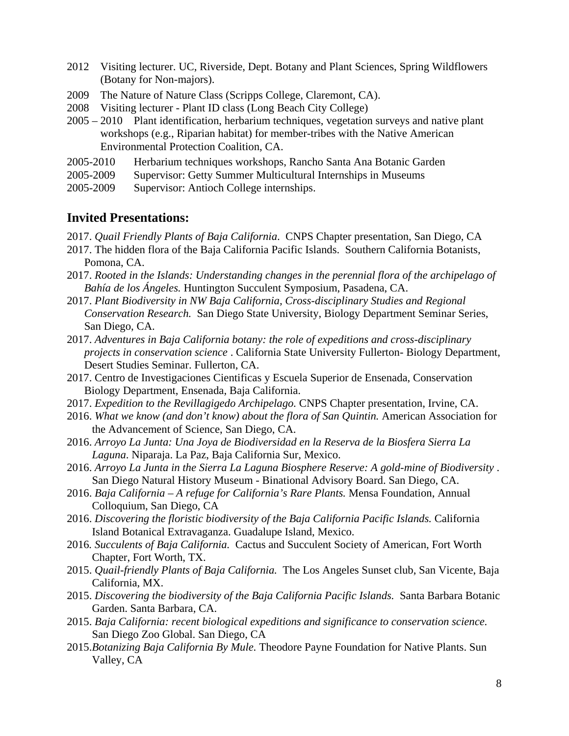- 2012 Visiting lecturer. UC, Riverside, Dept. Botany and Plant Sciences, Spring Wildflowers (Botany for Non-majors).
- 2009 The Nature of Nature Class (Scripps College, Claremont, CA).
- 2008 Visiting lecturer Plant ID class (Long Beach City College)
- 2005 2010 Plant identification, herbarium techniques, vegetation surveys and native plant workshops (e.g., Riparian habitat) for member-tribes with the Native American Environmental Protection Coalition, CA.
- 2005-2010 Herbarium techniques workshops, Rancho Santa Ana Botanic Garden
- 2005-2009 Supervisor: Getty Summer Multicultural Internships in Museums
- 2005-2009 Supervisor: Antioch College internships.

### **Invited Presentations:**

- 2017. *Quail Friendly Plants of Baja California*. CNPS Chapter presentation, San Diego, CA
- 2017. The hidden flora of the Baja California Pacific Islands. Southern California Botanists, Pomona, CA.
- 2017. *Rooted in the Islands: Understanding changes in the perennial flora of the archipelago of Bahía de los Ángeles.* Huntington Succulent Symposium, Pasadena, CA.
- 2017. *Plant Biodiversity in NW Baja California, Cross-disciplinary Studies and Regional Conservation Research.* San Diego State University, Biology Department Seminar Series, San Diego, CA.
- 2017. *Adventures in Baja California botany: the role of expeditions and cross-disciplinary projects in conservation science* . California State University Fullerton- Biology Department, Desert Studies Seminar. Fullerton, CA.
- 2017. Centro de Investigaciones Cientificas y Escuela Superior de Ensenada, Conservation Biology Department, Ensenada, Baja California.
- 2017. *Expedition to the Revillagigedo Archipelago.* CNPS Chapter presentation, Irvine, CA.
- 2016. *What we know (and don't know) about the flora of San Quintin.* American Association for the Advancement of Science, San Diego, CA.
- 2016. *Arroyo La Junta: Una Joya de Biodiversidad en la Reserva de la Biosfera Sierra La Laguna*. Niparaja. La Paz, Baja California Sur, Mexico.
- 2016. *Arroyo La Junta in the Sierra La Laguna Biosphere Reserve: A gold-mine of Biodiversity* . San Diego Natural History Museum - Binational Advisory Board. San Diego, CA.
- 2016. *Baja California A refuge for California's Rare Plants.* Mensa Foundation, Annual Colloquium, San Diego, CA
- 2016. *Discovering the floristic biodiversity of the Baja California Pacific Islands.* California Island Botanical Extravaganza. Guadalupe Island, Mexico.
- 2016*. Succulents of Baja California.* Cactus and Succulent Society of American, Fort Worth Chapter, Fort Worth, TX.
- 2015. *Quail-friendly Plants of Baja California.* The Los Angeles Sunset club, San Vicente, Baja California, MX.
- 2015. *Discovering the biodiversity of the Baja California Pacific Islands.* Santa Barbara Botanic Garden. Santa Barbara, CA.
- 2015. *Baja California: recent biological expeditions and significance to conservation science.* San Diego Zoo Global. San Diego, CA
- 2015.*Botanizing Baja California By Mule.* Theodore Payne Foundation for Native Plants. Sun Valley, CA